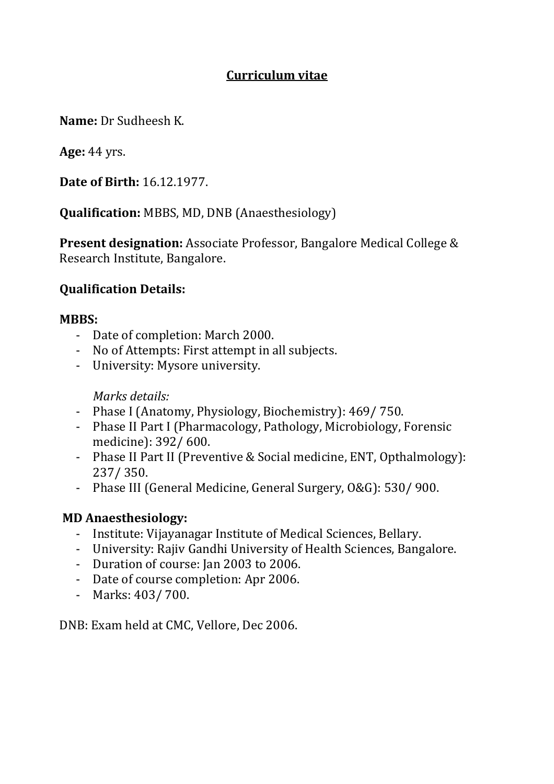### **Curriculum vitae**

**Name:** Dr Sudheesh K.

**Age:** 44 yrs.

**Date of Birth:** 16.12.1977.

**Qualification:** MBBS, MD, DNB (Anaesthesiology)

**Present designation:** Associate Professor, Bangalore Medical College & Research Institute, Bangalore.

#### **Qualification Details:**

#### **MBBS:**

- Date of completion: March 2000.
- No of Attempts: First attempt in all subjects.
- University: Mysore university.

*Marks details:*

- Phase I (Anatomy, Physiology, Biochemistry): 469/ 750.
- Phase II Part I (Pharmacology, Pathology, Microbiology, Forensic medicine): 392/ 600.
- Phase II Part II (Preventive & Social medicine, ENT, Opthalmology): 237/ 350.
- Phase III (General Medicine, General Surgery, O&G): 530/ 900.

### **MD Anaesthesiology:**

- Institute: Vijayanagar Institute of Medical Sciences, Bellary.
- University: Rajiv Gandhi University of Health Sciences, Bangalore.
- Duration of course: Jan 2003 to 2006.
- Date of course completion: Apr 2006.
- Marks: 403/ 700.

DNB: Exam held at CMC, Vellore, Dec 2006.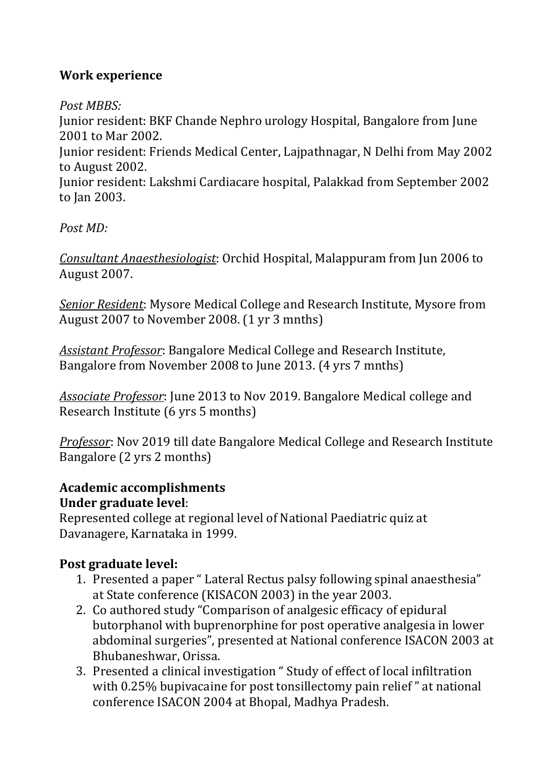### **Work experience**

*Post MBBS:*

Junior resident: BKF Chande Nephro urology Hospital, Bangalore from June 2001 to Mar 2002.

Junior resident: Friends Medical Center, Lajpathnagar, N Delhi from May 2002 to August 2002.

Junior resident: Lakshmi Cardiacare hospital, Palakkad from September 2002 to Jan 2003.

*Post MD:*

*Consultant Anaesthesiologist*: Orchid Hospital, Malappuram from Jun 2006 to August 2007.

*Senior Resident*: Mysore Medical College and Research Institute, Mysore from August 2007 to November 2008. (1 yr 3 mnths)

*Assistant Professor*: Bangalore Medical College and Research Institute, Bangalore from November 2008 to June 2013. (4 yrs 7 mnths)

*Associate Professor*: June 2013 to Nov 2019. Bangalore Medical college and Research Institute (6 yrs 5 months)

*Professor*: Nov 2019 till date Bangalore Medical College and Research Institute Bangalore (2 yrs 2 months)

### **Academic accomplishments Under graduate level**:

Represented college at regional level of National Paediatric quiz at Davanagere, Karnataka in 1999.

# **Post graduate level:**

- 1. Presented a paper " Lateral Rectus palsy following spinal anaesthesia" at State conference (KISACON 2003) in the year 2003.
- 2. Co authored study "Comparison of analgesic efficacy of epidural butorphanol with buprenorphine for post operative analgesia in lower abdominal surgeries", presented at National conference ISACON 2003 at Bhubaneshwar, Orissa.
- 3. Presented a clinical investigation " Study of effect of local infiltration with 0.25% bupivacaine for post tonsillectomy pain relief " at national conference ISACON 2004 at Bhopal, Madhya Pradesh.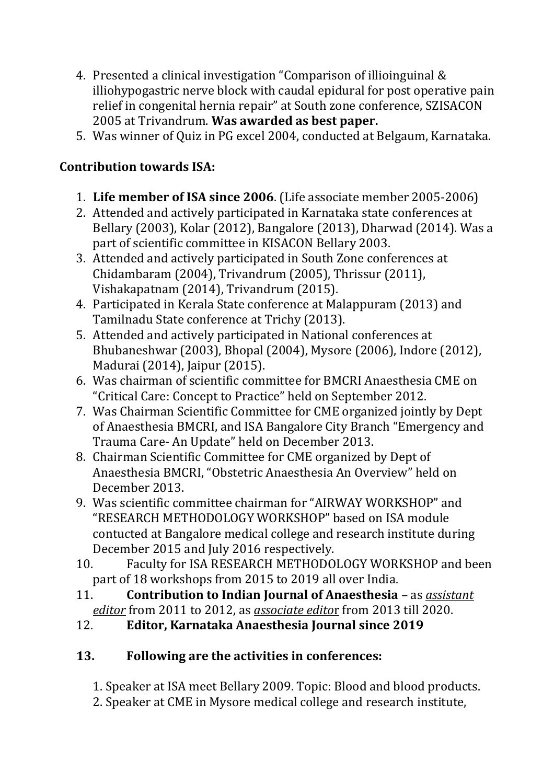- 4. Presented a clinical investigation "Comparison of illioinguinal & illiohypogastric nerve block with caudal epidural for post operative pain relief in congenital hernia repair" at South zone conference, SZISACON 2005 at Trivandrum. **Was awarded as best paper.**
- 5. Was winner of Quiz in PG excel 2004, conducted at Belgaum, Karnataka.

## **Contribution towards ISA:**

- 1. **Life member of ISA since 2006**. (Life associate member 2005-2006)
- 2. Attended and actively participated in Karnataka state conferences at Bellary (2003), Kolar (2012), Bangalore (2013), Dharwad (2014). Was a part of scientific committee in KISACON Bellary 2003.
- 3. Attended and actively participated in South Zone conferences at Chidambaram (2004), Trivandrum (2005), Thrissur (2011), Vishakapatnam (2014), Trivandrum (2015).
- 4. Participated in Kerala State conference at Malappuram (2013) and Tamilnadu State conference at Trichy (2013).
- 5. Attended and actively participated in National conferences at Bhubaneshwar (2003), Bhopal (2004), Mysore (2006), Indore (2012), Madurai (2014), Jaipur (2015).
- 6. Was chairman of scientific committee for BMCRI Anaesthesia CME on "Critical Care: Concept to Practice" held on September 2012.
- 7. Was Chairman Scientific Committee for CME organized jointly by Dept of Anaesthesia BMCRI, and ISA Bangalore City Branch "Emergency and Trauma Care- An Update" held on December 2013.
- 8. Chairman Scientific Committee for CME organized by Dept of Anaesthesia BMCRI, "Obstetric Anaesthesia An Overview" held on December 2013.
- 9. Was scientific committee chairman for "AIRWAY WORKSHOP" and "RESEARCH METHODOLOGY WORKSHOP" based on ISA module contucted at Bangalore medical college and research institute during December 2015 and July 2016 respectively.
- 10. Faculty for ISA RESEARCH METHODOLOGY WORKSHOP and been part of 18 workshops from 2015 to 2019 all over India.
- 11. **Contribution to Indian Journal of Anaesthesia** as *assistant editor* from 2011 to 2012, as *associate edito*r from 2013 till 2020.

# 12. **Editor, Karnataka Anaesthesia Journal since 2019**

# **13. Following are the activities in conferences:**

1. Speaker at ISA meet Bellary 2009. Topic: Blood and blood products.

2. Speaker at CME in Mysore medical college and research institute,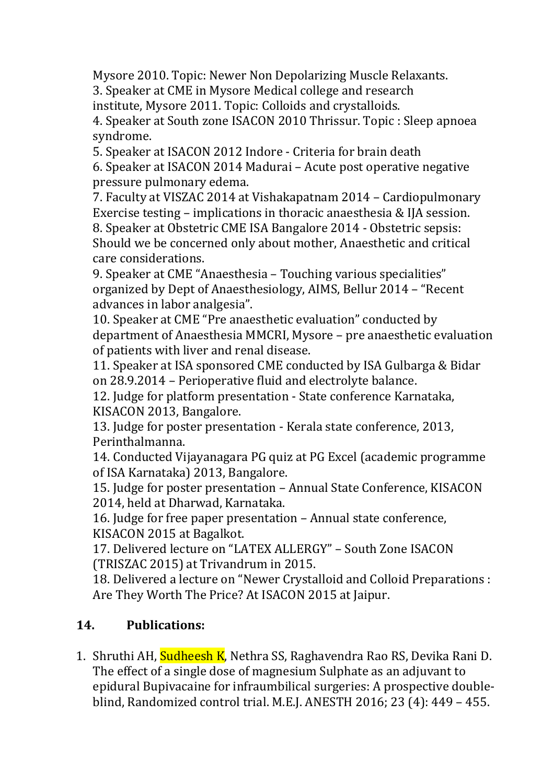Mysore 2010. Topic: Newer Non Depolarizing Muscle Relaxants.

3. Speaker at CME in Mysore Medical college and research institute, Mysore 2011. Topic: Colloids and crystalloids.

4. Speaker at South zone ISACON 2010 Thrissur. Topic : Sleep apnoea syndrome.

5. Speaker at ISACON 2012 Indore - Criteria for brain death

6. Speaker at ISACON 2014 Madurai – Acute post operative negative pressure pulmonary edema.

7. Faculty at VISZAC 2014 at Vishakapatnam 2014 – Cardiopulmonary Exercise testing – implications in thoracic anaesthesia & IJA session. 8. Speaker at Obstetric CME ISA Bangalore 2014 - Obstetric sepsis: Should we be concerned only about mother, Anaesthetic and critical care considerations.

9. Speaker at CME "Anaesthesia – Touching various specialities" organized by Dept of Anaesthesiology, AIMS, Bellur 2014 – "Recent advances in labor analgesia".

10. Speaker at CME "Pre anaesthetic evaluation" conducted by department of Anaesthesia MMCRI, Mysore – pre anaesthetic evaluation of patients with liver and renal disease.

11. Speaker at ISA sponsored CME conducted by ISA Gulbarga & Bidar on 28.9.2014 – Perioperative fluid and electrolyte balance.

12. Judge for platform presentation - State conference Karnataka, KISACON 2013, Bangalore.

13. Judge for poster presentation - Kerala state conference, 2013, Perinthalmanna.

14. Conducted Vijayanagara PG quiz at PG Excel (academic programme of ISA Karnataka) 2013, Bangalore.

15. Judge for poster presentation – Annual State Conference, KISACON 2014, held at Dharwad, Karnataka.

16. Judge for free paper presentation – Annual state conference, KISACON 2015 at Bagalkot.

17. Delivered lecture on "LATEX ALLERGY" – South Zone ISACON (TRISZAC 2015) at Trivandrum in 2015.

18. Delivered a lecture on "Newer Crystalloid and Colloid Preparations : Are They Worth The Price? At ISACON 2015 at Jaipur.

### **14. Publications:**

1. Shruthi AH, Sudheesh K, Nethra SS, Raghavendra Rao RS, Devika Rani D. The effect of a single dose of magnesium Sulphate as an adjuvant to epidural Bupivacaine for infraumbilical surgeries: A prospective doubleblind, Randomized control trial. M.E.J. ANESTH 2016; 23 (4): 449 – 455.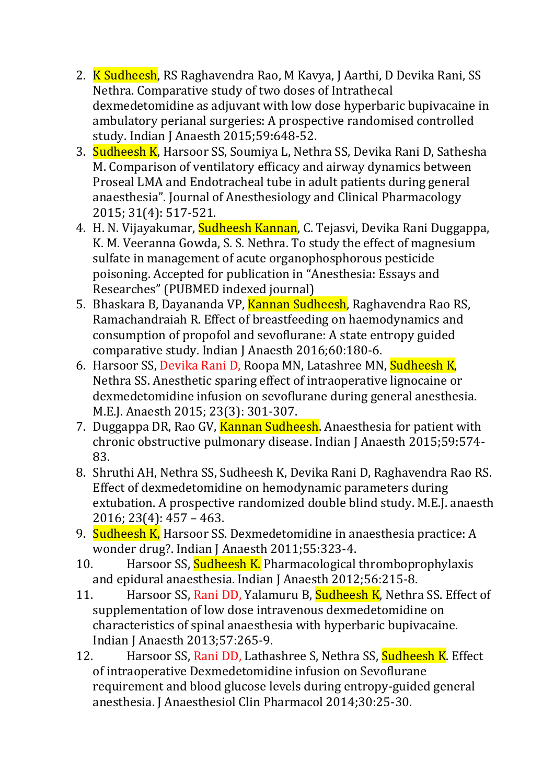- 2. K Sudheesh, RS Raghavendra Rao, M Kavya, J Aarthi, D Devika Rani, SS Nethra. Comparative study of two doses of Intrathecal dexmedetomidine as adjuvant with low dose hyperbaric bupivacaine in ambulatory perianal surgeries: A prospective randomised controlled study. Indian J Anaesth 2015;59:648-52.
- 3. Sudheesh K, Harsoor SS, Soumiya L, Nethra SS, Devika Rani D, Sathesha M. Comparison of ventilatory efficacy and airway dynamics between Proseal LMA and Endotracheal tube in adult patients during general anaesthesia". Journal of Anesthesiology and Clinical Pharmacology 2015; 31(4): 517-521.
- 4. H. N. Vijayakumar, Sudheesh Kannan, C. Tejasvi, Devika Rani Duggappa, K. M. Veeranna Gowda, S. S. Nethra. To study the effect of magnesium sulfate in management of acute organophosphorous pesticide poisoning. Accepted for publication in "Anesthesia: Essays and Researches" (PUBMED indexed journal)
- 5. Bhaskara B, Dayananda VP, Kannan Sudheesh, Raghavendra Rao RS, Ramachandraiah R. Effect of breastfeeding on haemodynamics and consumption of propofol and sevoflurane: A state entropy guided comparative study. Indian J Anaesth 2016;60:180-6.
- 6. Harsoor SS, Devika Rani D, Roopa MN, Latashree MN, Sudheesh K, Nethra SS. Anesthetic sparing effect of intraoperative lignocaine or dexmedetomidine infusion on sevoflurane during general anesthesia. M.E.J. Anaesth 2015; 23(3): 301-307.
- 7. Duggappa DR, Rao GV, Kannan Sudheesh. Anaesthesia for patient with chronic obstructive pulmonary disease. Indian J Anaesth 2015;59:574- 83.
- 8. Shruthi AH, Nethra SS, Sudheesh K, Devika Rani D, Raghavendra Rao RS. Effect of dexmedetomidine on hemodynamic parameters during extubation. A prospective randomized double blind study. M.E.J. anaesth 2016; 23(4): 457 – 463.
- 9. Sudheesh K, Harsoor SS. Dexmedetomidine in anaesthesia practice: A wonder drug?. Indian J Anaesth 2011;55:323-4.
- 10. Harsoor SS, Sudheesh K. Pharmacological thromboprophylaxis and epidural anaesthesia. Indian J Anaesth 2012;56:215-8.
- 11. Harsoor SS, Rani DD, Yalamuru B, Sudheesh K, Nethra SS. Effect of supplementation of low dose intravenous dexmedetomidine on characteristics of spinal anaesthesia with hyperbaric bupivacaine. Indian J Anaesth 2013;57:265-9.
- 12. Harsoor SS, Rani DD, Lathashree S, Nethra SS, Sudheesh K. Effect of intraoperative Dexmedetomidine infusion on Sevoflurane requirement and blood glucose levels during entropy-guided general anesthesia. J Anaesthesiol Clin Pharmacol 2014;30:25-30.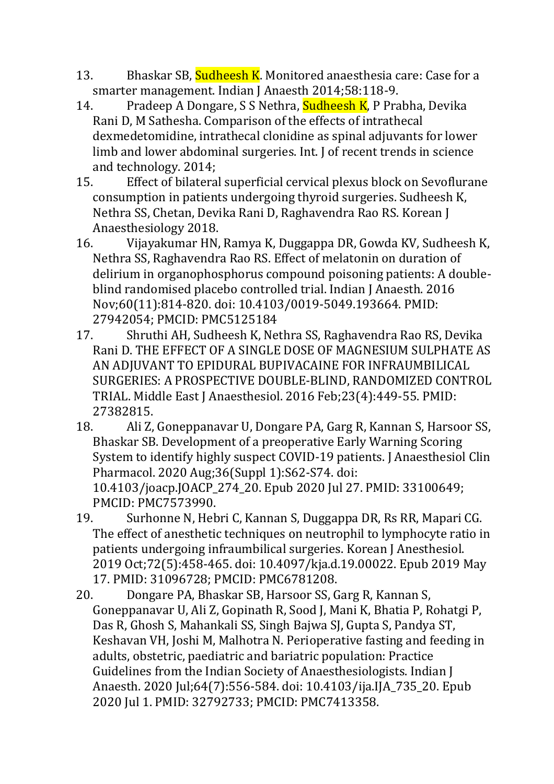- 13. Bhaskar SB, Sudheesh K. Monitored anaesthesia care: Case for a smarter management. Indian J Anaesth 2014;58:118-9.
- 14. Pradeep A Dongare, S S Nethra, **Sudheesh K**, P Prabha, Devika Rani D, M Sathesha. Comparison of the effects of intrathecal dexmedetomidine, intrathecal clonidine as spinal adjuvants for lower limb and lower abdominal surgeries. Int. J of recent trends in science and technology. 2014;
- 15. Effect of bilateral superficial cervical plexus block on Sevoflurane consumption in patients undergoing thyroid surgeries. Sudheesh K, Nethra SS, Chetan, Devika Rani D, Raghavendra Rao RS. Korean J Anaesthesiology 2018.
- 16. Vijayakumar HN, Ramya K, Duggappa DR, Gowda KV, Sudheesh K, Nethra SS, Raghavendra Rao RS. Effect of melatonin on duration of delirium in organophosphorus compound poisoning patients: A doubleblind randomised placebo controlled trial. Indian J Anaesth. 2016 Nov;60(11):814-820. doi: 10.4103/0019-5049.193664. PMID: 27942054; PMCID: PMC5125184
- 17. Shruthi AH, Sudheesh K, Nethra SS, Raghavendra Rao RS, Devika Rani D. THE EFFECT OF A SINGLE DOSE OF MAGNESIUM SULPHATE AS AN ADJUVANT TO EPIDURAL BUPIVACAINE FOR INFRAUMBILICAL SURGERIES: A PROSPECTIVE DOUBLE-BLIND, RANDOMIZED CONTROL TRIAL. Middle East J Anaesthesiol. 2016 Feb;23(4):449-55. PMID: 27382815.
- 18. Ali Z, Goneppanavar U, Dongare PA, Garg R, Kannan S, Harsoor SS, Bhaskar SB. Development of a preoperative Early Warning Scoring System to identify highly suspect COVID-19 patients. J Anaesthesiol Clin Pharmacol. 2020 Aug;36(Suppl 1):S62-S74. doi: 10.4103/joacp.JOACP\_274\_20. Epub 2020 Jul 27. PMID: 33100649; PMCID: PMC7573990.
- 19. Surhonne N, Hebri C, Kannan S, Duggappa DR, Rs RR, Mapari CG. The effect of anesthetic techniques on neutrophil to lymphocyte ratio in patients undergoing infraumbilical surgeries. Korean J Anesthesiol. 2019 Oct;72(5):458-465. doi: 10.4097/kja.d.19.00022. Epub 2019 May 17. PMID: 31096728; PMCID: PMC6781208.
- 20. Dongare PA, Bhaskar SB, Harsoor SS, Garg R, Kannan S, Goneppanavar U, Ali Z, Gopinath R, Sood J, Mani K, Bhatia P, Rohatgi P, Das R, Ghosh S, Mahankali SS, Singh Bajwa SJ, Gupta S, Pandya ST, Keshavan VH, Joshi M, Malhotra N. Perioperative fasting and feeding in adults, obstetric, paediatric and bariatric population: Practice Guidelines from the Indian Society of Anaesthesiologists. Indian J Anaesth. 2020 Jul;64(7):556-584. doi: 10.4103/ija.IJA\_735\_20. Epub 2020 Jul 1. PMID: 32792733; PMCID: PMC7413358.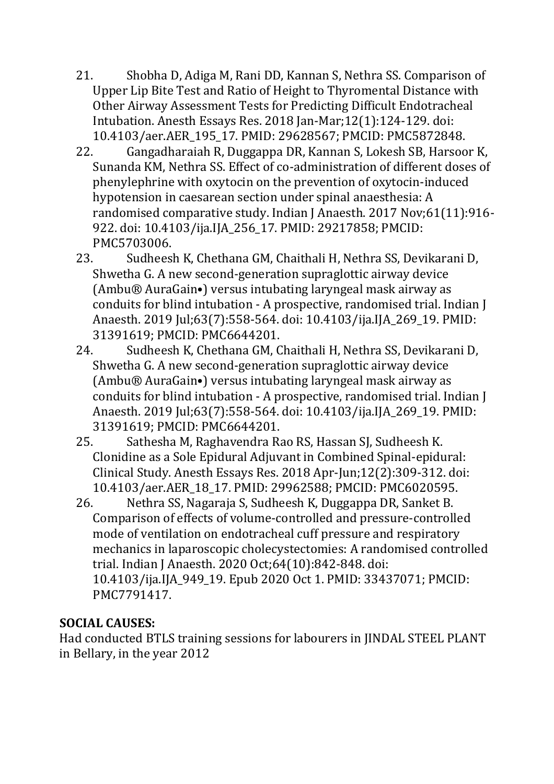- 21. Shobha D, Adiga M, Rani DD, Kannan S, Nethra SS. Comparison of Upper Lip Bite Test and Ratio of Height to Thyromental Distance with Other Airway Assessment Tests for Predicting Difficult Endotracheal Intubation. Anesth Essays Res. 2018 Jan-Mar;12(1):124-129. doi: 10.4103/aer.AER\_195\_17. PMID: 29628567; PMCID: PMC5872848.
- 22. Gangadharaiah R, Duggappa DR, Kannan S, Lokesh SB, Harsoor K, Sunanda KM, Nethra SS. Effect of co-administration of different doses of phenylephrine with oxytocin on the prevention of oxytocin-induced hypotension in caesarean section under spinal anaesthesia: A randomised comparative study. Indian J Anaesth. 2017 Nov;61(11):916- 922. doi: 10.4103/ija.IJA\_256\_17. PMID: 29217858; PMCID: PMC5703006.
- 23. Sudheesh K, Chethana GM, Chaithali H, Nethra SS, Devikarani D, Shwetha G. A new second-generation supraglottic airway device (Ambu® AuraGain•) versus intubating laryngeal mask airway as conduits for blind intubation - A prospective, randomised trial. Indian J Anaesth. 2019 Jul;63(7):558-564. doi: 10.4103/ija.IJA\_269\_19. PMID: 31391619; PMCID: PMC6644201.
- 24. Sudheesh K, Chethana GM, Chaithali H, Nethra SS, Devikarani D, Shwetha G. A new second-generation supraglottic airway device (Ambu® AuraGain•) versus intubating laryngeal mask airway as conduits for blind intubation - A prospective, randomised trial. Indian J Anaesth. 2019 Jul;63(7):558-564. doi: 10.4103/ija.IJA\_269\_19. PMID: 31391619; PMCID: PMC6644201.
- 25. Sathesha M, Raghavendra Rao RS, Hassan SJ, Sudheesh K. Clonidine as a Sole Epidural Adjuvant in Combined Spinal-epidural: Clinical Study. Anesth Essays Res. 2018 Apr-Jun;12(2):309-312. doi: 10.4103/aer.AER\_18\_17. PMID: 29962588; PMCID: PMC6020595.
- 26. Nethra SS, Nagaraja S, Sudheesh K, Duggappa DR, Sanket B. Comparison of effects of volume-controlled and pressure-controlled mode of ventilation on endotracheal cuff pressure and respiratory mechanics in laparoscopic cholecystectomies: A randomised controlled trial. Indian J Anaesth. 2020 Oct;64(10):842-848. doi: 10.4103/ija.IJA\_949\_19. Epub 2020 Oct 1. PMID: 33437071; PMCID: PMC7791417.

### **SOCIAL CAUSES:**

Had conducted BTLS training sessions for labourers in JINDAL STEEL PLANT in Bellary, in the year 2012